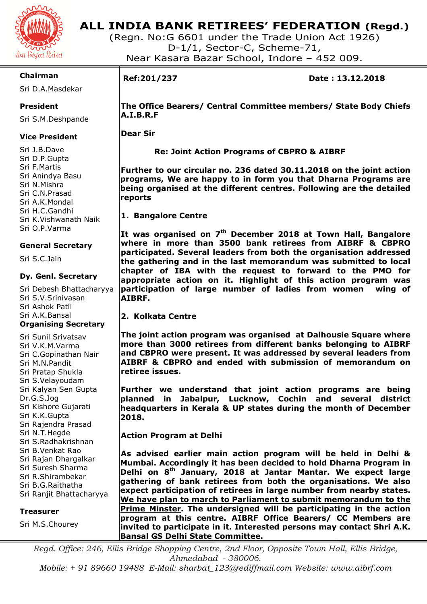

### **ALL INDIA BANK RETIREES' FEDERATION (Regd.)**

(Regn. No:G 6601 under the Trade Union Act 1926) D-1/1, Sector-C, Scheme-71, Near Kasara Bazar School, Indore – 452 009.

### **Chairman**

Sri D.A.Masdekar

### **President**

Sri S.M.Deshpande

### **Vice President**

Sri J.B.Dave Sri D.P.Gupta Sri F.Martis Sri Anindya Basu Sri N.Mishra Sri C.N.Prasad Sri A.K.Mondal Sri H.C.Gandhi Sri K.Vishwanath Naik Sri O.P.Varma

### **General Secretary**

Sri S.C.Jain

### **Dy. Genl. Secretary**

Sri Debesh Bhattacharyya Sri S.V.Srinivasan Sri Ashok Patil Sri A.K.Bansal **Organising Secretary** 

Sri Sunil Srivatsav Sri V.K.M.Varma Sri C.Gopinathan Nair Sri M.N.Pandit Sri Pratap Shukla Sri S.Velayoudam Sri Kalyan Sen Gupta Dr.G.S.Jog Sri Kishore Gujarati Sri K.K.Gupta Sri Rajendra Prasad Sri N.T.Hegde Sri S.Radhakrishnan Sri B.Venkat Rao Sri Rajan Dhargalkar Sri Suresh Sharma Sri R.Shirambekar Sri B.G.Raithatha Sri Ranjit Bhattacharyya

### **Treasurer**

Sri M.S.Chourey

# I

**Ref:201/237 Date : 13.12.2018** 

**The Office Bearers/ Central Committee members/ State Body Chiefs A.I.B.R.F** 

**Dear Sir** 

 **Re: Joint Action Programs of CBPRO & AIBRF** 

**Further to our circular no. 236 dated 30.11.2018 on the joint action programs, We are happy to in form you that Dharna Programs are being organised at the different centres. Following are the detailed reports** 

**1. Bangalore Centre** 

**It was organised on 7th December 2018 at Town Hall, Bangalore where in more than 3500 bank retirees from AIBRF & CBPRO participated. Several leaders from both the organisation addressed the gathering and in the last memorandum was submitted to local chapter of IBA with the request to forward to the PMO for appropriate action on it. Highlight of this action program was participation of large number of ladies from women wing of AIBRF.** 

### **2. Kolkata Centre**

**The joint action program was organised at Dalhousie Square where more than 3000 retirees from different banks belonging to AIBRF and CBPRO were present. It was addressed by several leaders from AIBRF & CBPRO and ended with submission of memorandum on retiree issues.** 

**Further we understand that joint action programs are being planned in Jabalpur, Lucknow, Cochin and several district headquarters in Kerala & UP states during the month of December 2018.** 

**Action Program at Delhi** 

**As advised earlier main action program will be held in Delhi & Mumbai. Accordingly it has been decided to hold Dharna Program in Delhi on 8th January, 2018 at Jantar Mantar. We expect large gathering of bank retirees from both the organisations. We also expect participation of retirees in large number from nearby states. We have plan to march to Parliament to submit memorandum to the Prime Minster. The undersigned will be participating in the action program at this centre. AIBRF Office Bearers/ CC Members are invited to participate in it. Interested persons may contact Shri A.K. Bansal GS Delhi State Committee.** 

*Regd. Office: 246, Ellis Bridge Shopping Centre, 2nd Floor, Opposite Town Hall, Ellis Bridge, Ahmedabad - 380006. Mobile: + 91 89660 19488 E-Mail: sharbat\_123@rediffmail.com Website: www.aibrf.com*